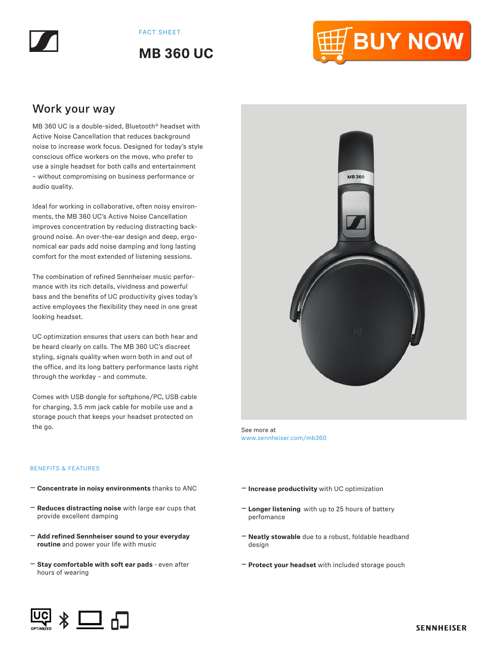

FACT SHEET

**MB 360 UC**



## Work your way

MB 360 UC is a double-sided, Bluetooth® headset with Active Noise Cancellation that reduces background noise to increase work focus. Designed for today's style conscious office workers on the move, who prefer to use a single headset for both calls and entertainment – without compromising on business performance or audio quality.

Ideal for working in collaborative, often noisy environments, the MB 360 UC's Active Noise Cancellation improves concentration by reducing distracting background noise. An over-the-ear design and deep, ergonomical ear pads add noise damping and long lasting comfort for the most extended of listening sessions.

The combination of refined Sennheiser music performance with its rich details, vividness and powerful bass and the benefits of UC productivity gives today's active employees the flexibility they need in one great looking headset.

UC optimization ensures that users can both hear and be heard clearly on calls. The MB 360 UC's discreet styling, signals quality when worn both in and out of the office, and its long battery performance lasts right through the workday – and commute.

Comes with USB dongle for softphone/PC, USB cable for charging, 3.5 mm jack cable for mobile use and a storage pouch that keeps your headset protected on the go.



See more at www.sennheiser.com/mb360

#### BENEFITS & FEATURES

- **Concentrate in noisy environments** thanks to ANC
- **Reduces distracting noise** with large ear cups that provide excellent damping
- **Add refined Sennheiser sound to your everyday routine** and power your life with music
- **Stay comfortable with soft ear pads**  even after hours of wearing
- **Increase productivity** with UC optimization
- **Longer listening** with up to 25 hours of battery perfomance
- **Neatly stowable** due to a robust, foldable headband design
- **Protect your headset** with included storage pouch

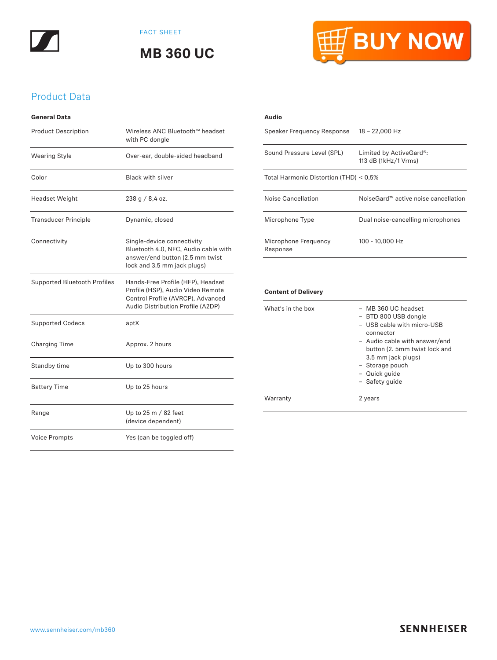



## Product Data

| <b>General Data</b>                 |                                                                                                                                                  |
|-------------------------------------|--------------------------------------------------------------------------------------------------------------------------------------------------|
| <b>Product Description</b>          | Wireless ANC Bluetooth™ headset<br>with PC donale                                                                                                |
| <b>Wearing Style</b>                | Over-ear, double-sided headband                                                                                                                  |
| Color                               | <b>Black with silver</b>                                                                                                                         |
| <b>Headset Weight</b>               | $238 g / 8,4$ oz.                                                                                                                                |
| <b>Transducer Principle</b>         | Dynamic, closed                                                                                                                                  |
| Connectivity                        | Single-device connectivity<br>Bluetooth 4.0, NFC, Audio cable with<br>answer/end button (2.5 mm twist<br>lock and 3.5 mm jack plugs)             |
| <b>Supported Bluetooth Profiles</b> | Hands-Free Profile (HFP), Headset<br>Profile (HSP), Audio Video Remote<br>Control Profile (AVRCP), Advanced<br>Audio Distribution Profile (A2DP) |
| <b>Supported Codecs</b>             | aptX                                                                                                                                             |
| <b>Charging Time</b>                | Approx. 2 hours                                                                                                                                  |
| Standby time                        | Up to 300 hours                                                                                                                                  |
| <b>Battery Time</b>                 | Up to 25 hours                                                                                                                                   |
| Range                               | Up to 25 m / 82 feet<br>(device dependent)                                                                                                       |
| <b>Voice Prompts</b>                | Yes (can be toggled off)                                                                                                                         |



### **Audio**

| Speaker Frequency Response             | 18 - 22,000 Hz                                  |
|----------------------------------------|-------------------------------------------------|
| Sound Pressure Level (SPL)             | Limited by ActiveGard®:<br>113 dB (1kHz/1 Vrms) |
| Total Harmonic Distortion (THD) < 0.5% |                                                 |
| Noise Cancellation                     | NoiseGard™ active noise cancellation            |
| Microphone Type                        | Dual noise-cancelling microphones               |
| Microphone Frequency<br>Response       | 100 - 10.000 Hz                                 |

### **Content of Delivery**

| What's in the box | - MB 360 UC headset<br>- BTD 800 USB dongle<br>- USB cable with micro-USB<br>connector<br>- Audio cable with answer/end<br>button (2. 5mm twist lock and<br>3.5 mm jack plugs)<br>- Storage pouch<br>- Quick guide<br>- Safety quide |
|-------------------|--------------------------------------------------------------------------------------------------------------------------------------------------------------------------------------------------------------------------------------|
| Warranty          | 2 years                                                                                                                                                                                                                              |